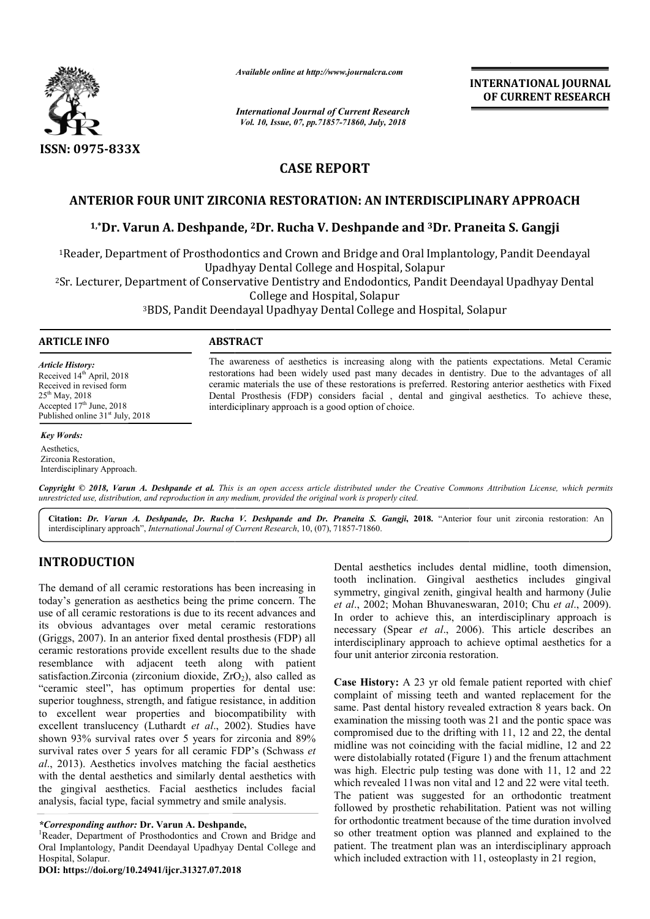

*Available online at http://www.journalcra.com*

*International Journal of Current Research Vol. 10, Issue, 07, pp.71857-71860, July, 2018*

**INTERNATIONAL JOURNAL OF CURRENT RESEARCH**

# **CASE REPORT**

## **ANTERIOR FOUR UNIT ZIRCONIA RESTORATION: AN INTERDISCIPLINARY APPROACH APPROACH**

### <sup>1,</sup>\*Dr. Varun A. Deshpande, <sup>2</sup>Dr. Rucha V. Deshpande and <sup>3</sup>Dr. Praneita S. Gangji

<sup>1</sup>Reader, Department of Prosthodontics and Crown and Bridge and Oral Implantology, Pandit Deendayal Upadhyay Dental College and Hospital, Solapur <sup>1</sup>Reader, Department of Prosthodontics and Crown and Bridge and Oral Implantology, Pandit Deendayal<br>Upadhyay Dental College and Hospital, Solapur<br>Sr. Lecturer, Department of Conservative Dentistry and Endodontics, Pandit

2Sr. Lecturer, Department of Conservative Dentistry and Endodontics, Pandit Deenday Sr. College and Hospital, Solapur

3BDS, Pandit Deendayal Upadhyay Dental College and Hospital, Solapur BDS,

#### **ARTICLE INFO ABSTRACT**

*Article History:* Received 14<sup>th</sup> April, 2018 Received in revised form 25th May, 2018 Accepted  $17<sup>th</sup>$  June, 2018

Published online  $31<sup>st</sup>$  July, 2018

#### *Key Words:*

Aesthetics, Zirconia Restoration, Interdisciplinary Approach.

The awareness of aesthetics is increasing along with the patients expectations. Metal Ceramic restorations had been widely used past many decades in dentistry. Due to the advantages of all ceramic materials the use of these restorations is preferred. Restoring anterior aesthetics with Fixed Dental Prosthesis (FDP) considers facial, dental and gingival aesthetics. To achieve these, interdiciplinary approach is a good option of choice. The awareness of aesthetics is increasing along with the patients expectations. Metal Ceramic restorations had been widely used past many decades in dentistry. Due to the advantages of all ceramic materials the use of thes

Copyright © 2018, Varun A. Deshpande et al. This is an open access article distributed under the Creative Commons Attribution License, which permits *unrestricted use, distribution, and reproduction in any medium, provided the original work is properly cited.*

Citation: Dr. Varun A. Deshpande, Dr. Rucha V. Deshpande and Dr. Praneita S. Gangji, 2018. "Anterior four unit zirconia restoration: An interdisciplinary approach", *International Journal of Current Research* , 10, (07), 71857-71860.

## **INTRODUCTION**

The demand of all ceramic restorations has been increasing in today's generation as aesthetics being the prime concern. The use of all ceramic restorations is due to its recent advances and its obvious advantages over metal ceramic restorations (Griggs, 2007). In an anterior fixed dental prosthesis . (FDP) all ceramic restorations provide excellent results due to the shade resemblance with adjacent teeth along with patient satisfaction. Zirconia (zirconium dioxide,  $ZrO<sub>2</sub>$ ), also called as "ceramic steel", has optimum properties for dental use: superior toughness, strength, and fatigue resistance, in addition to excellent wear properties and biocompatibility with excellent translucency (Luthardt et al., 2002). Studies have shown 93% survival rates over 5 years for zirconia and 89% survival rates over 5 years for all ceramic FDP's (Schwass *et al*., 2013). Aesthetics involves matching the facial aesthetics with the dental aesthetics and similarly dental aesthetics with the gingival aesthetics. Facial aesthetics includes facial analysis, facial type, facial symmetry and smile analysis.

tooth inclination. Gingival aesthetics includes gingival symmetry, gingival zenith, gingival health and harmony (Julie *et al*., 2002; Mohan Bhuvaneswaran Bhuvaneswaran, 2010; Chu *et al*., 2009). In order to achieve this, an interdisciplinary approach is In order to achieve this, an interdisciplinary approach is necessary (Spear *et al.*, 2006). This article describes an interdisciplinary approach to achieve optimal aesthetics for a four unit anterior zirconia restoration.

**.07.2018**Dental aesthetics includes dental midline, tooth dimension, **Case History:** A 23 yr old female patient reported with chief complaint of missing teeth and wanted replacement for the same. Past dental history revealed extraction 8 years back. On examination the missing tooth was 21 and the pontic space was compromised due to the drifting with 11, 12 and 22, the dental midline was not coinciding with the facial midline, 12 and 22 were distolabially rotated (Figure 1) and the frenum attachment was high. Electric pulp testing was done with 11, 12 and 22 which revealed 11was non vital and 12 and 22 were vital teeth. The patient was suggested for an orthodontic treatment followed by prosthetic rehabilitation. Patient was not willing for orthodontic treatment because of the time duration involved so other treatment option was planned and explained to the patient. The treatment plan was an interdisciplinary approach which included extraction with 11, osteoplasty in 21 region, a zirconia restoration.<br>
23 yr old female patient reported with chief<br>
ssing teeth and wanted replacement for the<br>
1 history revealed extraction 8 years back. On<br>
missing tooth was 21 and the pontic space was<br>
e to the dri is high. Electric pulp testing was done with 11, 12 and ich revealed 11 was non vital and 12 and 22 were vital tee patient was suggested for an orthodontic treatm owed by prosthetic rehabilitation. Patient was not will ort

<sup>\*</sup>*Corresponding author:* Dr. Varun A. Deshpande,

<sup>&</sup>lt;sup>1</sup>Reader, Department of Prosthodontics and Crown and Bridge and Oral Implantology, Pandit Deendayal Upadhyay Dental College and Hospital, Solapur.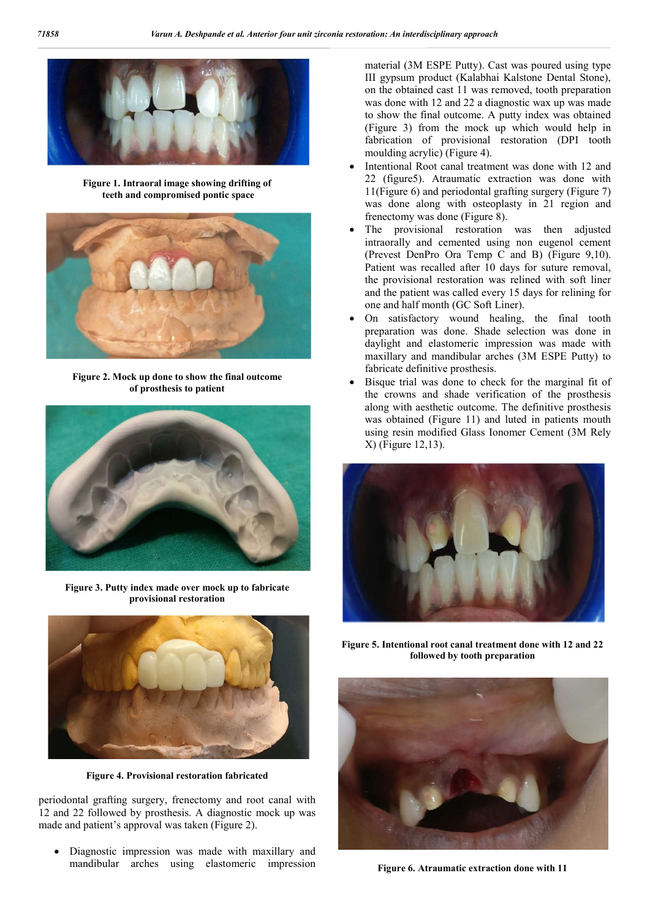

**Figure 1. Intraoral image showing drifting of teeth and compromised pontic space** 



**Figure 2. Mock up done to show the final outcome of prosthesis to patient** 



**Figure 3. Putty index made over mock up to fabricate provisional restoration**



**Figure 4. Provisional restoration fabricated** 

periodontal grafting surgery, frenectomy and root canal with 12 and 22 followed by prosthesis. A diagnostic mock up was made and patient's approval was taken (Figure 2).

 Diagnostic impression was made with maxillary and mandibular arches using elastomeric impression material (3M ESPE Putty). Cast was poured using type III gypsum product (Kalabhai Kalstone Dental Stone), on the obtained cast 11 was removed, tooth preparation was done with 12 and 22 a diagnostic wax up was made to show the final outcome. A putty index was obtained (Figure 3) from the mock up which would help in fabrication of provisional restoration (DPI tooth moulding acrylic) (Figure 4).

- Intentional Root canal treatment was done with 12 and 22 (figure5). Atraumatic extraction was done with 11(Figure 6) and periodontal grafting surgery (Figure 7) was done along with osteoplasty in 21 region and frenectomy was done (Figure 8).
- The provisional restoration was then adjusted intraorally and cemented using non eugenol cement (Prevest DenPro Ora Temp C and B) (Figure 9,10). Patient was recalled after 10 days for suture removal, the provisional restoration was relined with soft liner and the patient was called every 15 days for relining for one and half month (GC Soft Liner).
- On satisfactory wound healing, the final tooth preparation was done. Shade selection was done in daylight and elastomeric impression was made with maxillary and mandibular arches (3M ESPE Putty) to fabricate definitive prosthesis.
- Bisque trial was done to check for the marginal fit of the crowns and shade verification of the prosthesis along with aesthetic outcome. The definitive prosthesis was obtained (Figure 11) and luted in patients mouth using resin modified Glass Ionomer Cement (3M Rely X) (Figure 12,13).



**Figure 5. Intentional root canal treatment done with 12 and 22 followed by tooth preparation**



**Figure 6. Atraumatic extraction done with 11**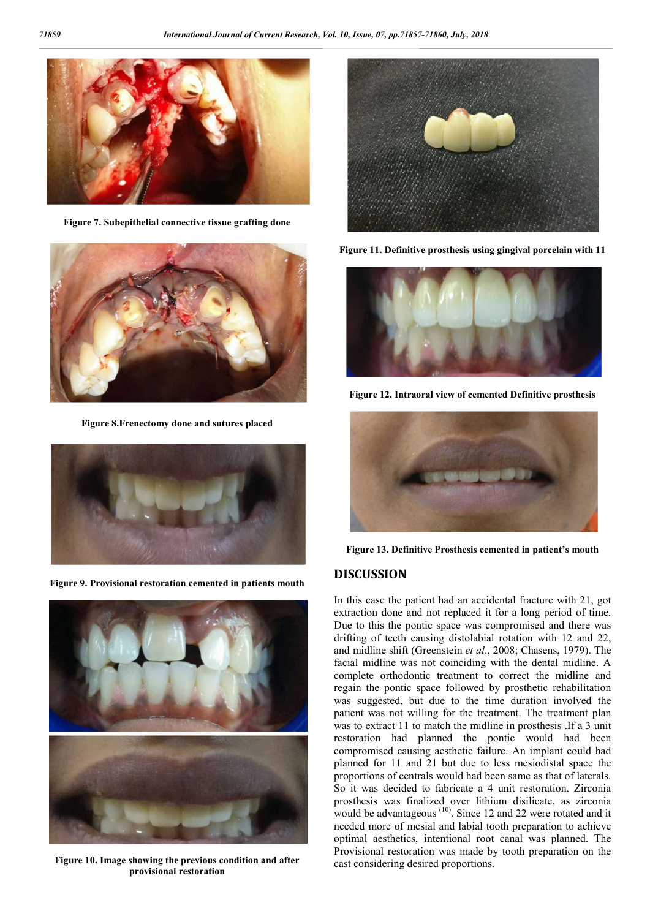

**Figure 7. Subepithelial connective tissue grafting done**



**Figure 8.Frenectomy done and sutures placed**



**Figure 9. Provisional restoration cemented in patients mouth**



**Figure 10. Image showing the previous condition and after provisional restoration**



**Figure 11. Definitive prosthesis using gingival porcelain with 11**



**Figure 12. Intraoral view of cemented Definitive prosthesis**



**Figure 13. Definitive Prosthesis cemented in patient's mouth**

## **DISCUSSION**

In this case the patient had an accidental fracture with 21, got extraction done and not replaced it for a long period of time. Due to this the pontic space was compromised and there was drifting of teeth causing distolabial rotation with 12 and 22, and midline shift (Greenstein *et al*., 2008; Chasens, 1979). The facial midline was not coinciding with the dental midline. A complete orthodontic treatment to correct the midline and regain the pontic space followed by prosthetic rehabilitation was suggested, but due to the time duration involved the patient was not willing for the treatment. The treatment plan was to extract 11 to match the midline in prosthesis .If a 3 unit restoration had planned the pontic would had been compromised causing aesthetic failure. An implant could had planned for 11 and 21 but due to less mesiodistal space the proportions of centrals would had been same as that of laterals. So it was decided to fabricate a 4 unit restoration. Zirconia prosthesis was finalized over lithium disilicate, as zirconia would be advantageous<sup>(10)</sup>. Since 12 and 22 were rotated and it needed more of mesial and labial tooth preparation to achieve optimal aesthetics, intentional root canal was planned. The Provisional restoration was made by tooth preparation on the cast considering desired proportions.